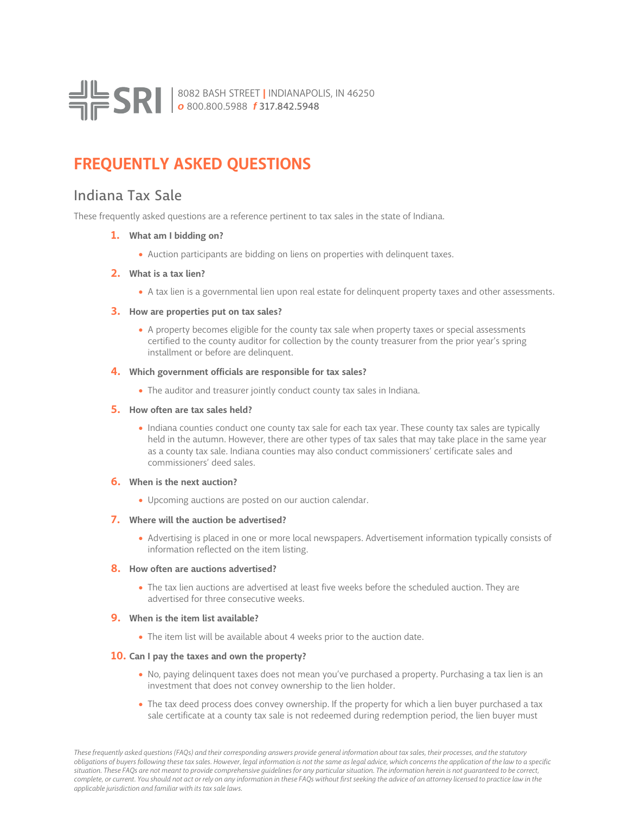

# **FREQUENTLY ASKED QUESTIONS**

## Indiana Tax Sale

These frequently asked questions are a reference pertinent to tax sales in the state of Indiana.

## **1. What am I bidding on?**

• Auction participants are bidding on liens on properties with delinquent taxes.

## **2. What is a tax lien?**

• A tax lien is a governmental lien upon real estate for delinquent property taxes and other assessments.

## **3. How are properties put on tax sales?**

• A property becomes eligible for the county tax sale when property taxes or special assessments certified to the county auditor for collection by the county treasurer from the prior year's spring installment or before are delinquent.

## **4. Which government officials are responsible for tax sales?**

• The auditor and treasurer jointly conduct county tax sales in Indiana.

## **5. How often are tax sales held?**

• Indiana counties conduct one county tax sale for each tax year. These county tax sales are typically held in the autumn. However, there are other types of tax sales that may take place in the same year as a county tax sale. Indiana counties may also conduct commissioners' certificate sales and commissioners' deed sales.

## **6. When is the next auction?**

• Upcoming auctions are posted on our auction calendar.

## **7. Where will the auction be advertised?**

• Advertising is placed in one or more local newspapers. Advertisement information typically consists of information reflected on the item listing.

## **8. How often are auctions advertised?**

• The tax lien auctions are advertised at least five weeks before the scheduled auction. They are advertised for three consecutive weeks.

## **9. When is the item list available?**

• The item list will be available about 4 weeks prior to the auction date.

## **10. Can I pay the taxes and own the property?**

- No, paying delinquent taxes does not mean you've purchased a property. Purchasing a tax lien is an investment that does not convey ownership to the lien holder.
- The tax deed process does convey ownership. If the property for which a lien buyer purchased a tax sale certificate at a county tax sale is not redeemed during redemption period, the lien buyer must

*These frequently asked questions (FAQs) and their corresponding answers provide general information about tax sales, their processes, and the statutory obligations of buyers following these tax sales. However, legal information is not the same as legal advice, which concerns the application of the law to a specific situation. These FAQs are not meant to provide comprehensive guidelines for any particular situation. The information herein is not guaranteed to be correct, complete, or current. You should not act or rely on any information in these FAQs without first seeking the advice of an attorney licensed to practice law in the applicable jurisdiction and familiar with its tax sale laws.*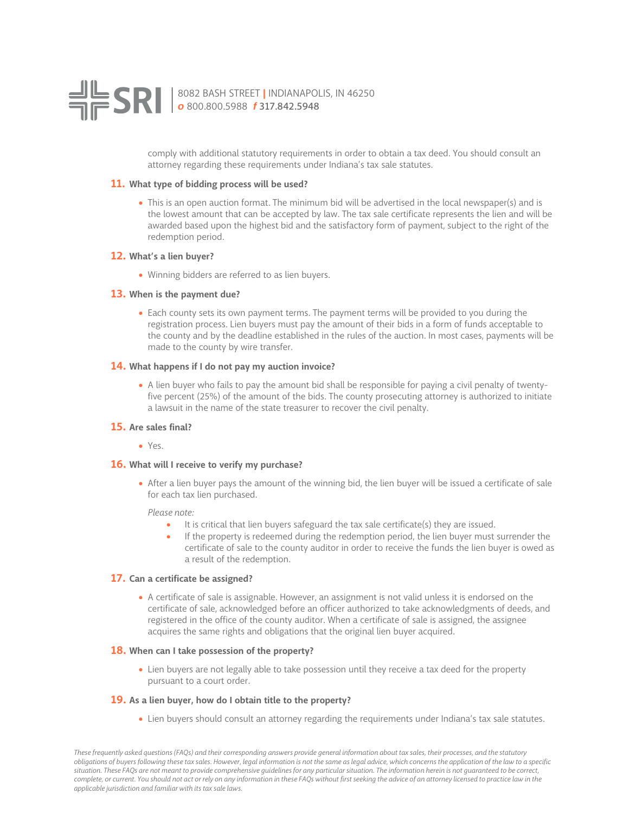

comply with additional statutory requirements in order to obtain a tax deed. You should consult an attorney regarding these requirements under Indiana's tax sale statutes.

#### **11. What type of bidding process will be used?**

• This is an open auction format. The minimum bid will be advertised in the local newspaper(s) and is the lowest amount that can be accepted by law. The tax sale certificate represents the lien and will be awarded based upon the highest bid and the satisfactory form of payment, subject to the right of the redemption period.

## **12. What's a lien buyer?**

• Winning bidders are referred to as lien buyers.

## **13. When is the payment due?**

• Each county sets its own payment terms. The payment terms will be provided to you during the registration process. Lien buyers must pay the amount of their bids in a form of funds acceptable to the county and by the deadline established in the rules of the auction. In most cases, payments will be made to the county by wire transfer.

## **14. What happens if I do not pay my auction invoice?**

• A lien buyer who fails to pay the amount bid shall be responsible for paying a civil penalty of twentyfive percent (25%) of the amount of the bids. The county prosecuting attorney is authorized to initiate a lawsuit in the name of the state treasurer to recover the civil penalty.

## **15. Are sales final?**

• Yes.

#### **16. What will I receive to verify my purchase?**

• After a lien buyer pays the amount of the winning bid, the lien buyer will be issued a certificate of sale for each tax lien purchased.

*Please note:*

- It is critical that lien buyers safeguard the tax sale certificate(s) they are issued.
- If the property is redeemed during the redemption period, the lien buyer must surrender the certificate of sale to the county auditor in order to receive the funds the lien buyer is owed as a result of the redemption.

## **17. Can a certificate be assigned?**

• A certificate of sale is assignable. However, an assignment is not valid unless it is endorsed on the certificate of sale, acknowledged before an officer authorized to take acknowledgments of deeds, and registered in the office of the county auditor. When a certificate of sale is assigned, the assignee acquires the same rights and obligations that the original lien buyer acquired.

#### **18. When can I take possession of the property?**

• Lien buyers are not legally able to take possession until they receive a tax deed for the property pursuant to a court order.

## **19. As a lien buyer, how do I obtain title to the property?**

• Lien buyers should consult an attorney regarding the requirements under Indiana's tax sale statutes.

*These frequently asked questions (FAQs) and their corresponding answers provide general information about tax sales, their processes, and the statutory obligations of buyers following these tax sales. However, legal information is not the same as legal advice, which concerns the application of the law to a specific situation. These FAQs are not meant to provide comprehensive guidelines for any particular situation. The information herein is not guaranteed to be correct, complete, or current. You should not act or rely on any information in these FAQs without first seeking the advice of an attorney licensed to practice law in the applicable jurisdiction and familiar with its tax sale laws.*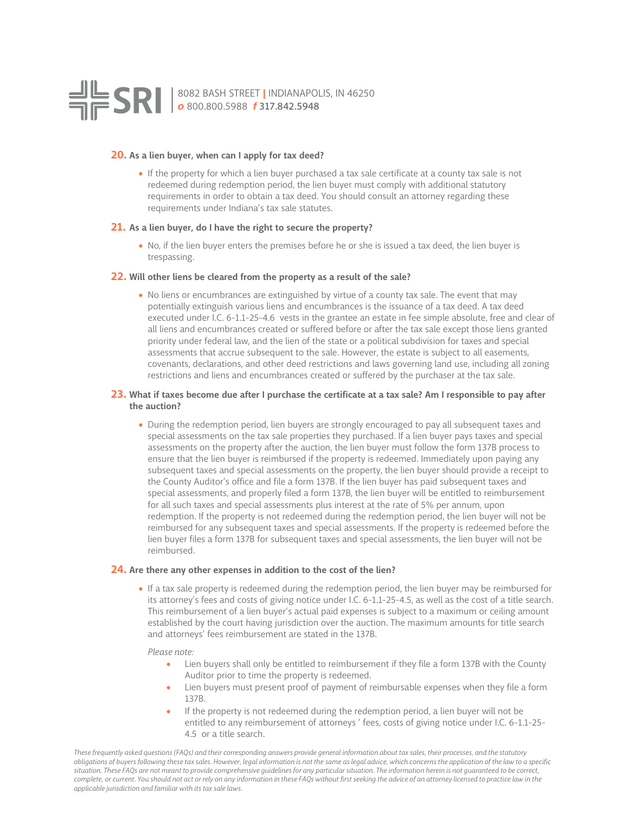

#### **20. As a lien buyer, when can I apply for tax deed?**

• If the property for which a lien buyer purchased a tax sale certificate at a county tax sale is not redeemed during redemption period, the lien buyer must comply with additional statutory requirements in order to obtain a tax deed. You should consult an attorney regarding these requirements under Indiana's tax sale statutes.

#### **21. As a lien buyer, do I have the right to secure the property?**

• No, if the lien buyer enters the premises before he or she is issued a tax deed, the lien buyer is trespassing.

## **22. Will other liens be cleared from the property as a result of the sale?**

• No liens or encumbrances are extinguished by virtue of a county tax sale. The event that may potentially extinguish various liens and encumbrances is the issuance of a tax deed. A tax deed executed under I.C. 6-1.1-25-4.6 vests in the grantee an estate in fee simple absolute, free and clear of all liens and encumbrances created or suffered before or after the tax sale except those liens granted priority under federal law, and the lien of the state or a political subdivision for taxes and special assessments that accrue subsequent to the sale. However, the estate is subject to all easements, covenants, declarations, and other deed restrictions and laws governing land use, including all zoning restrictions and liens and encumbrances created or suffered by the purchaser at the tax sale.

## **23. What if taxes become due after I purchase the certificate at a tax sale? Am I responsible to pay after the auction?**

• During the redemption period, lien buyers are strongly encouraged to pay all subsequent taxes and special assessments on the tax sale properties they purchased. If a lien buyer pays taxes and special assessments on the property after the auction, the lien buyer must follow the form 137B process to ensure that the lien buyer is reimbursed if the property is redeemed. Immediately upon paying any subsequent taxes and special assessments on the property, the lien buyer should provide a receipt to the County Auditor's office and file a form 137B. If the lien buyer has paid subsequent taxes and special assessments, and properly filed a form 137B, the lien buyer will be entitled to reimbursement for all such taxes and special assessments plus interest at the rate of 5% per annum, upon redemption. If the property is not redeemed during the redemption period, the lien buyer will not be reimbursed for any subsequent taxes and special assessments. If the property is redeemed before the lien buyer files a form 137B for subsequent taxes and special assessments, the lien buyer will not be reimbursed.

## **24. Are there any other expenses in addition to the cost of the lien?**

• If a tax sale property is redeemed during the redemption period, the lien buyer may be reimbursed for its attorney's fees and costs of giving notice under I.C. 6-1.1-25-4.5, as well as the cost of a title search. This reimbursement of a lien buyer's actual paid expenses is subject to a maximum or ceiling amount established by the court having jurisdiction over the auction. The maximum amounts for title search and attorneys' fees reimbursement are stated in the 137B.

#### *Please note:*

- Lien buyers shall only be entitled to reimbursement if they file a form 137B with the County Auditor prior to time the property is redeemed.
- Lien buyers must present proof of payment of reimbursable expenses when they file a form 137B.
- If the property is not redeemed during the redemption period, a lien buyer will not be entitled to any reimbursement of attorneys ' fees, costs of giving notice under I.C. 6-1.1-25- 4.5 or a title search.

*These frequently asked questions (FAQs) and their corresponding answers provide general information about tax sales, their processes, and the statutory obligations of buyers following these tax sales. However, legal information is not the same as legal advice, which concerns the application of the law to a specific situation. These FAQs are not meant to provide comprehensive guidelines for any particular situation. The information herein is not guaranteed to be correct, complete, or current. You should not act or rely on any information in these FAQs without first seeking the advice of an attorney licensed to practice law in the applicable jurisdiction and familiar with its tax sale laws.*